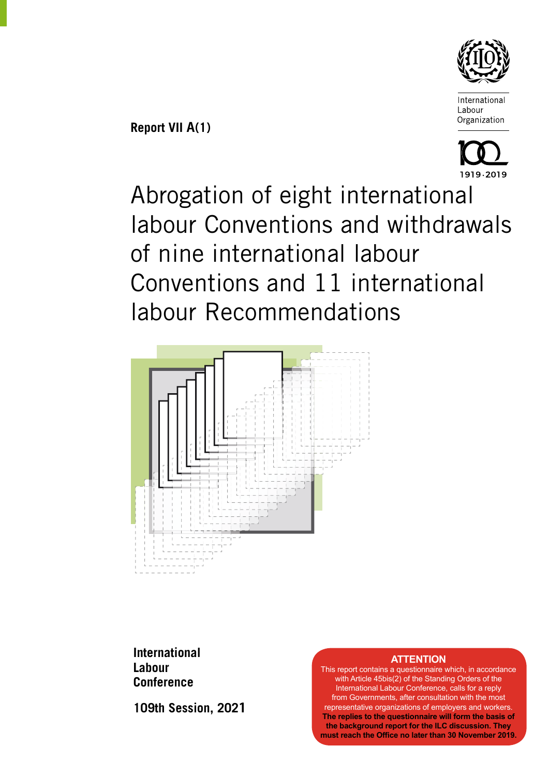

**Report VII A(1)**



Abrogation of eight international labour Conventions and withdrawals of nine international labour Conventions and 11 international labour Recommendations



**International Labour Conference**

**109th Session, 2021**

#### **ATTENTION**

This report contains a questionnaire which, in accordance with Article 45bis(2) of the Standing Orders of the International Labour Conference, calls for a reply from Governments, after consultation with the most representative organizations of employers and workers. **The replies to the questionnaire will form the basis of the background report for the ILC discussion. They must reach the Office no later than 30 November 2019.**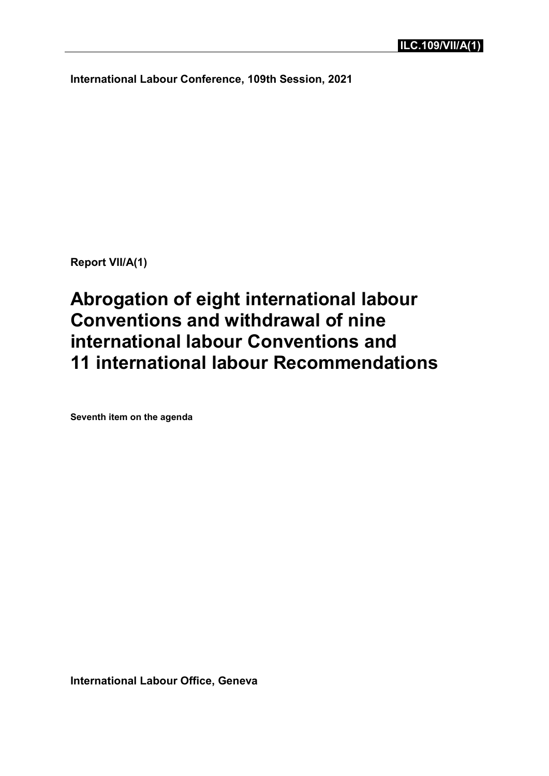**International Labour Conference, 109th Session, 2021**

**Report VII/A(1)**

**Abrogation of eight international labour Conventions and withdrawal of nine international labour Conventions and 11 international labour Recommendations**

**Seventh item on the agenda**

**International Labour Office, Geneva**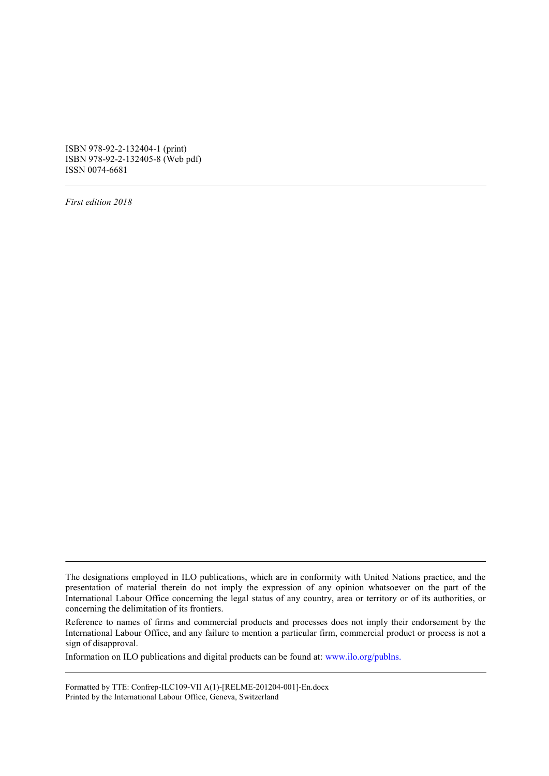ISBN 978-92-2-132404-1 (print) ISBN 978-92-2-132405-8 (Web pdf) ISSN 0074-6681

*First edition 2018*

Information on ILO publications and digital products can be found at: [www.ilo.org/publns.](http://www.ilo.org/publns)

Formatted by TTE: Confrep-ILC109-VII A(1)-[RELME-201204-001]-En.docx Printed by the International Labour Office, Geneva, Switzerland

The designations employed in ILO publications, which are in conformity with United Nations practice, and the presentation of material therein do not imply the expression of any opinion whatsoever on the part of the International Labour Office concerning the legal status of any country, area or territory or of its authorities, or concerning the delimitation of its frontiers.

Reference to names of firms and commercial products and processes does not imply their endorsement by the International Labour Office, and any failure to mention a particular firm, commercial product or process is not a sign of disapproval.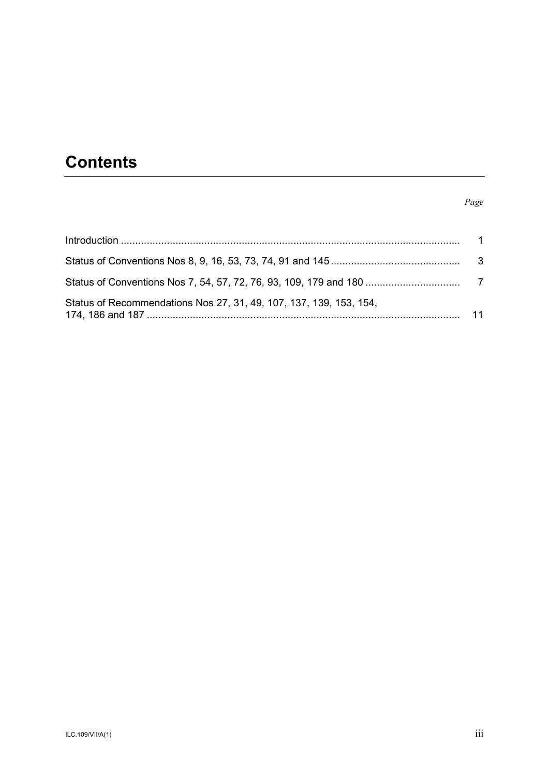# **Contents**

#### *Page*

| Status of Recommendations Nos 27, 31, 49, 107, 137, 139, 153, 154, |  |
|--------------------------------------------------------------------|--|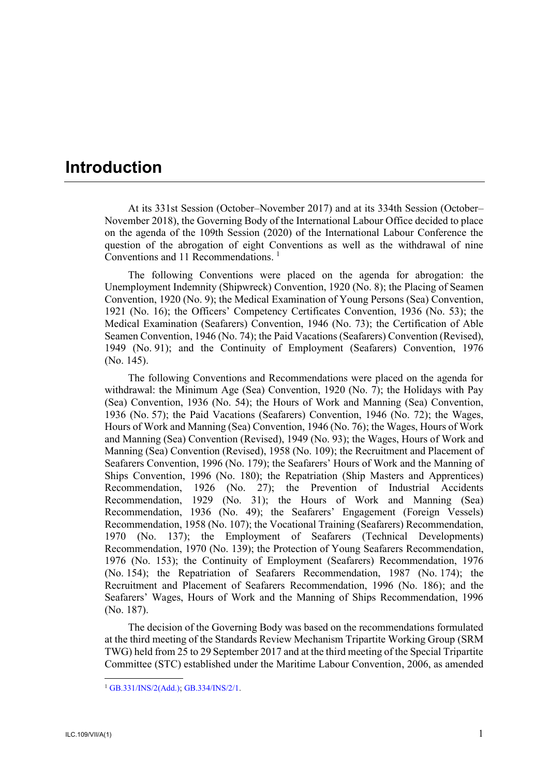# <span id="page-5-0"></span>**Introduction**

At its 331st Session (October–November 2017) and at its 334th Session (October– November 2018), the Governing Body of the International Labour Office decided to place on the agenda of the 109th Session (2020) of the International Labour Conference the question of the abrogation of eight Conventions as well as the withdrawal of nine Conventions and 11 Recommendations. 1

The following Conventions were placed on the agenda for abrogation: the Unemployment Indemnity (Shipwreck) Convention, 1920 (No. 8); the Placing of Seamen Convention, 1920 (No. 9); the Medical Examination of Young Persons (Sea) Convention, 1921 (No. 16); the Officers' Competency Certificates Convention, 1936 (No. 53); the Medical Examination (Seafarers) Convention, 1946 (No. 73); the Certification of Able Seamen Convention, 1946 (No. 74); the Paid Vacations (Seafarers) Convention (Revised), 1949 (No. 91); and the Continuity of Employment (Seafarers) Convention, 1976 (No. 145).

The following Conventions and Recommendations were placed on the agenda for withdrawal: the Minimum Age (Sea) Convention, 1920 (No. 7); the Holidays with Pay (Sea) Convention, 1936 (No. 54); the Hours of Work and Manning (Sea) Convention, 1936 (No. 57); the Paid Vacations (Seafarers) Convention, 1946 (No. 72); the Wages, Hours of Work and Manning (Sea) Convention, 1946 (No. 76); the Wages, Hours of Work and Manning (Sea) Convention (Revised), 1949 (No. 93); the Wages, Hours of Work and Manning (Sea) Convention (Revised), 1958 (No. 109); the Recruitment and Placement of Seafarers Convention, 1996 (No. 179); the Seafarers' Hours of Work and the Manning of Ships Convention, 1996 (No. 180); the Repatriation (Ship Masters and Apprentices) Recommendation, 1926 (No. 27); the Prevention of Industrial Accidents Recommendation, 1929 (No. 31); the Hours of Work and Manning (Sea) Recommendation, 1936 (No. 49); the Seafarers' Engagement (Foreign Vessels) Recommendation, 1958 (No. 107); the Vocational Training (Seafarers) Recommendation, 1970 (No. 137); the Employment of Seafarers (Technical Developments) Recommendation, 1970 (No. 139); the Protection of Young Seafarers Recommendation, 1976 (No. 153); the Continuity of Employment (Seafarers) Recommendation, 1976 (No. 154); the Repatriation of Seafarers Recommendation, 1987 (No. 174); the Recruitment and Placement of Seafarers Recommendation, 1996 (No. 186); and the Seafarers' Wages, Hours of Work and the Manning of Ships Recommendation, 1996 (No. 187).

The decision of the Governing Body was based on the recommendations formulated at the third meeting of the Standards Review Mechanism Tripartite Working Group (SRM TWG) held from 25 to 29 September 2017 and at the third meeting of the Special Tripartite Committee (STC) established under the Maritime Labour Convention, 2006, as amended

-

<sup>1</sup> [GB.331/INS/2\(Add.\);](https://www.ilo.org/wcmsp5/groups/public/---ed_norm/---relconf/documents/meetingdocument/wcms_585869.pdf) [GB.334/INS/2/1.](https://www.ilo.org/wcmsp5/groups/public/---ed_norm/---relconf/documents/meetingdocument/wcms_646480.pdf)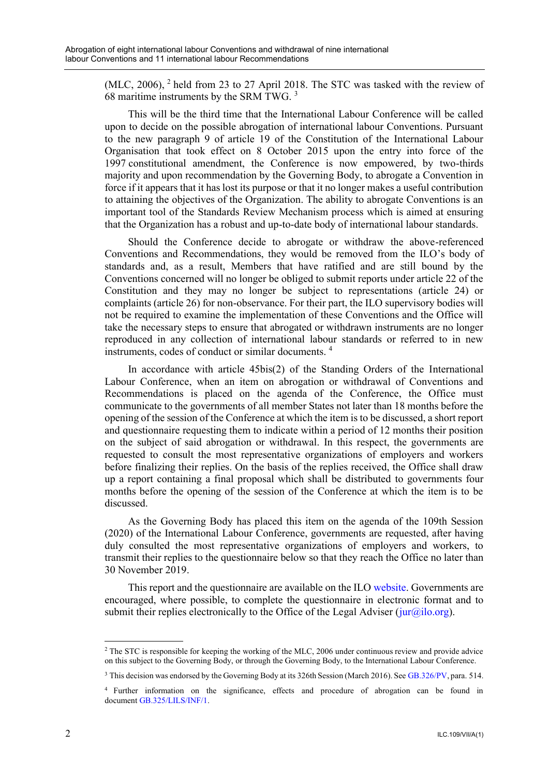(MLC, 2006), <sup>2</sup> held from 23 to 27 April 2018. The STC was tasked with the review of 68 maritime instruments by the SRM TWG. <sup>3</sup>

This will be the third time that the International Labour Conference will be called upon to decide on the possible abrogation of international labour Conventions. Pursuant to the new paragraph 9 of article 19 of the Constitution of the International Labour Organisation that took effect on 8 October 2015 upon the entry into force of the 1997 constitutional amendment, the Conference is now empowered, by two-thirds majority and upon recommendation by the Governing Body, to abrogate a Convention in force if it appears that it has lost its purpose or that it no longer makes a useful contribution to attaining the objectives of the Organization. The ability to abrogate Conventions is an important tool of the Standards Review Mechanism process which is aimed at ensuring that the Organization has a robust and up-to-date body of international labour standards.

Should the Conference decide to abrogate or withdraw the above-referenced Conventions and Recommendations, they would be removed from the ILO's body of standards and, as a result, Members that have ratified and are still bound by the Conventions concerned will no longer be obliged to submit reports under article 22 of the Constitution and they may no longer be subject to representations (article 24) or complaints (article 26) for non-observance. For their part, the ILO supervisory bodies will not be required to examine the implementation of these Conventions and the Office will take the necessary steps to ensure that abrogated or withdrawn instruments are no longer reproduced in any collection of international labour standards or referred to in new instruments, codes of conduct or similar documents. <sup>4</sup>

In accordance with article 45bis(2) of the Standing Orders of the International Labour Conference, when an item on abrogation or withdrawal of Conventions and Recommendations is placed on the agenda of the Conference, the Office must communicate to the governments of all member States not later than 18 months before the opening of the session of the Conference at which the item is to be discussed, a short report and questionnaire requesting them to indicate within a period of 12 months their position on the subject of said abrogation or withdrawal. In this respect, the governments are requested to consult the most representative organizations of employers and workers before finalizing their replies. On the basis of the replies received, the Office shall draw up a report containing a final proposal which shall be distributed to governments four months before the opening of the session of the Conference at which the item is to be discussed.

As the Governing Body has placed this item on the agenda of the 109th Session (2020) of the International Labour Conference, governments are requested, after having duly consulted the most representative organizations of employers and workers, to transmit their replies to the questionnaire below so that they reach the Office no later than 30 November 2019.

This report and the questionnaire are available on the ILO [website.](https://www.ilo.org/ilc/ILCSessions/109/reports/reports-to-the-conference/lang--en/index.htm) Governments are encouraged, where possible, to complete the questionnaire in electronic format and to submit their replies electronically to the Office of the Legal Adviser ( $jur(\hat{q}ilo.org)$ ).

<sup>-</sup> $2$  The STC is responsible for keeping the working of the MLC, 2006 under continuous review and provide advice on this subject to the Governing Body, or through the Governing Body, to the International Labour Conference.

<sup>3</sup> This decision was endorsed by the Governing Body at its 326th Session (March 2016). Se[e GB.326/PV,](https://www.ilo.org/wcmsp5/groups/public/---ed_norm/---relconf/documents/meetingdocument/wcms_484933.pdf) para. 514.

<sup>4</sup> Further information on the significance, effects and procedure of abrogation can be found in document [GB.325/LILS/INF/1.](https://www.ilo.org/wcmsp5/groups/public/---ed_norm/---relconf/documents/meetingdocument/wcms_415188.pdf)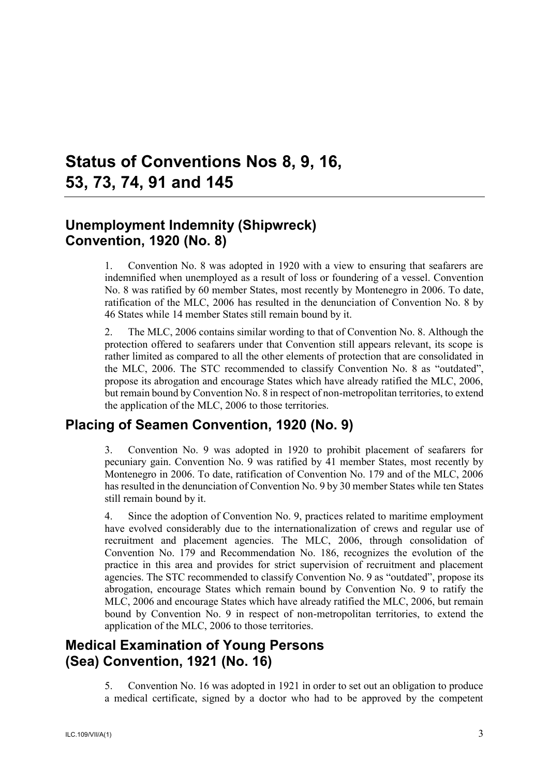# <span id="page-7-0"></span>**Status of Conventions Nos 8, 9, 16, 53, 73, 74, 91 and 145**

### **Unemployment Indemnity (Shipwreck) Convention, 1920 (No. 8)**

1. Convention No. 8 was adopted in 1920 with a view to ensuring that seafarers are indemnified when unemployed as a result of loss or foundering of a vessel. Convention No. 8 was ratified by 60 member States, most recently by Montenegro in 2006. To date, ratification of the MLC, 2006 has resulted in the denunciation of Convention No. 8 by 46 States while 14 member States still remain bound by it.

2. The MLC, 2006 contains similar wording to that of Convention No. 8. Although the protection offered to seafarers under that Convention still appears relevant, its scope is rather limited as compared to all the other elements of protection that are consolidated in the MLC, 2006. The STC recommended to classify Convention No. 8 as "outdated", propose its abrogation and encourage States which have already ratified the MLC, 2006, but remain bound by Convention No. 8 in respect of non-metropolitan territories, to extend the application of the MLC, 2006 to those territories.

### **Placing of Seamen Convention, 1920 (No. 9)**

3. Convention No. 9 was adopted in 1920 to prohibit placement of seafarers for pecuniary gain. Convention No. 9 was ratified by 41 member States, most recently by Montenegro in 2006. To date, ratification of Convention No. 179 and of the MLC, 2006 has resulted in the denunciation of Convention No. 9 by 30 member States while ten States still remain bound by it.

4. Since the adoption of Convention No. 9, practices related to maritime employment have evolved considerably due to the internationalization of crews and regular use of recruitment and placement agencies. The MLC, 2006, through consolidation of Convention No. 179 and Recommendation No. 186, recognizes the evolution of the practice in this area and provides for strict supervision of recruitment and placement agencies. The STC recommended to classify Convention No. 9 as "outdated", propose its abrogation, encourage States which remain bound by Convention No. 9 to ratify the MLC, 2006 and encourage States which have already ratified the MLC, 2006, but remain bound by Convention No. 9 in respect of non-metropolitan territories, to extend the application of the MLC, 2006 to those territories.

# **Medical Examination of Young Persons (Sea) Convention, 1921 (No. 16)**

5. Convention No. 16 was adopted in 1921 in order to set out an obligation to produce a medical certificate, signed by a doctor who had to be approved by the competent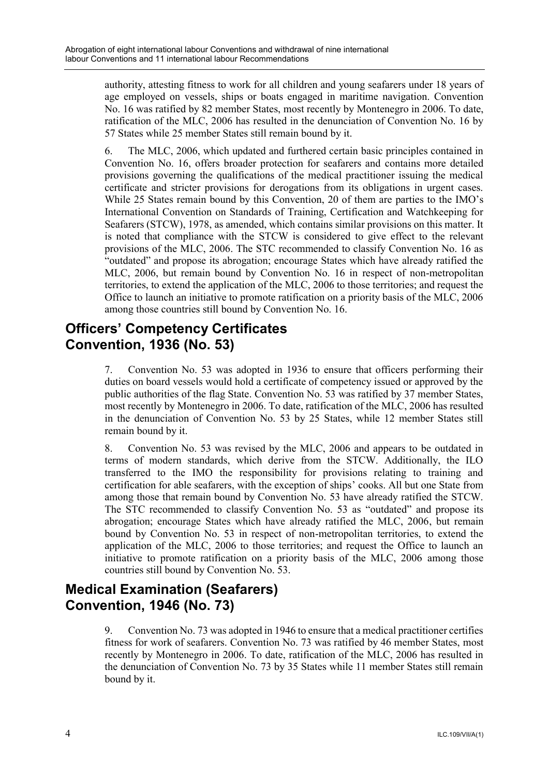authority, attesting fitness to work for all children and young seafarers under 18 years of age employed on vessels, ships or boats engaged in maritime navigation. Convention No. 16 was ratified by 82 member States, most recently by Montenegro in 2006. To date, ratification of the MLC, 2006 has resulted in the denunciation of Convention No. 16 by 57 States while 25 member States still remain bound by it.

6. The MLC, 2006, which updated and furthered certain basic principles contained in Convention No. 16, offers broader protection for seafarers and contains more detailed provisions governing the qualifications of the medical practitioner issuing the medical certificate and stricter provisions for derogations from its obligations in urgent cases. While 25 States remain bound by this Convention, 20 of them are parties to the IMO's International Convention on Standards of Training, Certification and Watchkeeping for Seafarers (STCW), 1978, as amended, which contains similar provisions on this matter. It is noted that compliance with the STCW is considered to give effect to the relevant provisions of the MLC, 2006. The STC recommended to classify Convention No. 16 as "outdated" and propose its abrogation; encourage States which have already ratified the MLC, 2006, but remain bound by Convention No. 16 in respect of non-metropolitan territories, to extend the application of the MLC, 2006 to those territories; and request the Office to launch an initiative to promote ratification on a priority basis of the MLC, 2006 among those countries still bound by Convention No. 16.

#### **Officers' Competency Certificates Convention, 1936 (No. 53)**

7. Convention No. 53 was adopted in 1936 to ensure that officers performing their duties on board vessels would hold a certificate of competency issued or approved by the public authorities of the flag State. Convention No. 53 was ratified by 37 member States, most recently by Montenegro in 2006. To date, ratification of the MLC, 2006 has resulted in the denunciation of Convention No. 53 by 25 States, while 12 member States still remain bound by it.

8. Convention No. 53 was revised by the MLC, 2006 and appears to be outdated in terms of modern standards, which derive from the STCW. Additionally, the ILO transferred to the IMO the responsibility for provisions relating to training and certification for able seafarers, with the exception of ships' cooks. All but one State from among those that remain bound by Convention No. 53 have already ratified the STCW. The STC recommended to classify Convention No. 53 as "outdated" and propose its abrogation; encourage States which have already ratified the MLC, 2006, but remain bound by Convention No. 53 in respect of non-metropolitan territories, to extend the application of the MLC, 2006 to those territories; and request the Office to launch an initiative to promote ratification on a priority basis of the MLC, 2006 among those countries still bound by Convention No. 53.

# **Medical Examination (Seafarers) Convention, 1946 (No. 73)**

9. Convention No. 73 was adopted in 1946 to ensure that a medical practitioner certifies fitness for work of seafarers. Convention No. 73 was ratified by 46 member States, most recently by Montenegro in 2006. To date, ratification of the MLC, 2006 has resulted in the denunciation of Convention No. 73 by 35 States while 11 member States still remain bound by it.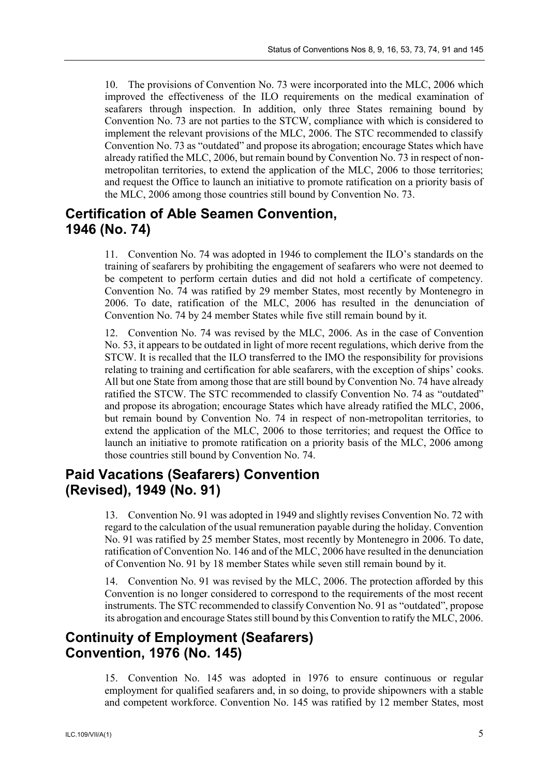10. The provisions of Convention No. 73 were incorporated into the MLC, 2006 which improved the effectiveness of the ILO requirements on the medical examination of seafarers through inspection. In addition, only three States remaining bound by Convention No. 73 are not parties to the STCW, compliance with which is considered to implement the relevant provisions of the MLC, 2006. The STC recommended to classify Convention No. 73 as "outdated" and propose its abrogation; encourage States which have already ratified the MLC, 2006, but remain bound by Convention No. 73 in respect of nonmetropolitan territories, to extend the application of the MLC, 2006 to those territories; and request the Office to launch an initiative to promote ratification on a priority basis of the MLC, 2006 among those countries still bound by Convention No. 73.

#### **Certification of Able Seamen Convention, 1946 (No. 74)**

11. Convention No. 74 was adopted in 1946 to complement the ILO's standards on the training of seafarers by prohibiting the engagement of seafarers who were not deemed to be competent to perform certain duties and did not hold a certificate of competency. Convention No. 74 was ratified by 29 member States, most recently by Montenegro in 2006. To date, ratification of the MLC, 2006 has resulted in the denunciation of Convention No. 74 by 24 member States while five still remain bound by it.

12. Convention No. 74 was revised by the MLC, 2006. As in the case of Convention No. 53, it appears to be outdated in light of more recent regulations, which derive from the STCW. It is recalled that the ILO transferred to the IMO the responsibility for provisions relating to training and certification for able seafarers, with the exception of ships' cooks. All but one State from among those that are still bound by Convention No. 74 have already ratified the STCW. The STC recommended to classify Convention No. 74 as "outdated" and propose its abrogation; encourage States which have already ratified the MLC, 2006, but remain bound by Convention No. 74 in respect of non-metropolitan territories, to extend the application of the MLC, 2006 to those territories; and request the Office to launch an initiative to promote ratification on a priority basis of the MLC, 2006 among those countries still bound by Convention No. 74.

#### **Paid Vacations (Seafarers) Convention (Revised), 1949 (No. 91)**

13. Convention No. 91 was adopted in 1949 and slightly revises Convention No. 72 with regard to the calculation of the usual remuneration payable during the holiday. Convention No. 91 was ratified by 25 member States, most recently by Montenegro in 2006. To date, ratification of Convention No. 146 and of the MLC, 2006 have resulted in the denunciation of Convention No. 91 by 18 member States while seven still remain bound by it.

14. Convention No. 91 was revised by the MLC, 2006. The protection afforded by this Convention is no longer considered to correspond to the requirements of the most recent instruments. The STC recommended to classify Convention No. 91 as "outdated", propose its abrogation and encourage States still bound by this Convention to ratify the MLC, 2006.

#### **Continuity of Employment (Seafarers) Convention, 1976 (No. 145)**

15. Convention No. 145 was adopted in 1976 to ensure continuous or regular employment for qualified seafarers and, in so doing, to provide shipowners with a stable and competent workforce. Convention No. 145 was ratified by 12 member States, most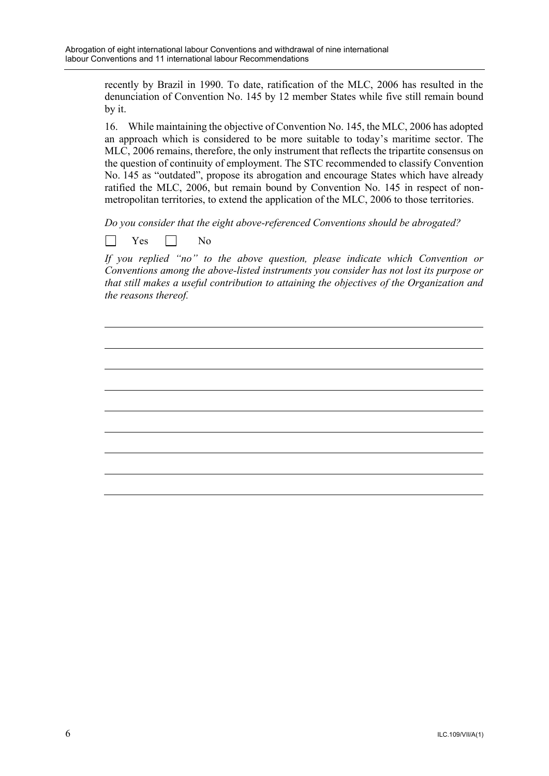recently by Brazil in 1990. To date, ratification of the MLC, 2006 has resulted in the denunciation of Convention No. 145 by 12 member States while five still remain bound by it.

16. While maintaining the objective of Convention No. 145, the MLC, 2006 has adopted an approach which is considered to be more suitable to today's maritime sector. The MLC, 2006 remains, therefore, the only instrument that reflects the tripartite consensus on the question of continuity of employment. The STC recommended to classify Convention No. 145 as "outdated", propose its abrogation and encourage States which have already ratified the MLC, 2006, but remain bound by Convention No. 145 in respect of nonmetropolitan territories, to extend the application of the MLC, 2006 to those territories.

*Do you consider that the eight above-referenced Conventions should be abrogated?*

 $Yes \Box No$ 

*If you replied "no" to the above question, please indicate which Convention or Conventions among the above-listed instruments you consider has not lost its purpose or that still makes a useful contribution to attaining the objectives of the Organization and the reasons thereof.*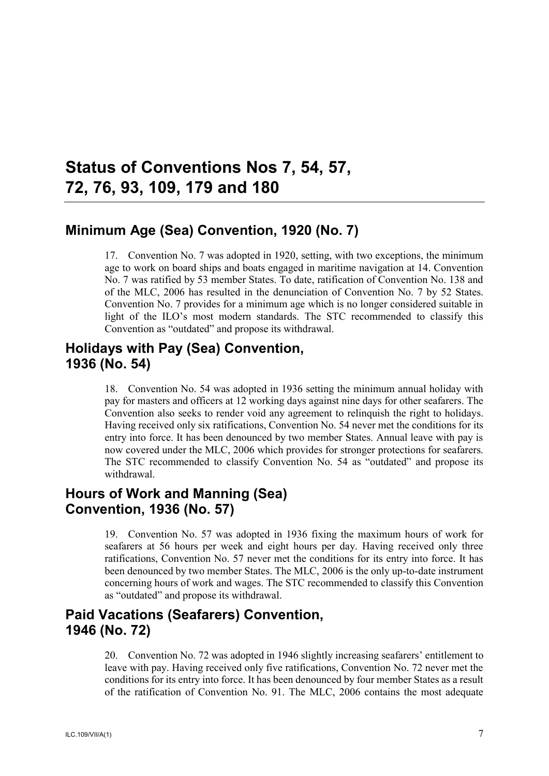# <span id="page-11-0"></span>**Status of Conventions Nos 7, 54, 57, 72, 76, 93, 109, 179 and 180**

#### **Minimum Age (Sea) Convention, 1920 (No. 7)**

17. Convention No. 7 was adopted in 1920, setting, with two exceptions, the minimum age to work on board ships and boats engaged in maritime navigation at 14. Convention No. 7 was ratified by 53 member States. To date, ratification of Convention No. 138 and of the MLC, 2006 has resulted in the denunciation of Convention No. 7 by 52 States. Convention No. 7 provides for a minimum age which is no longer considered suitable in light of the ILO's most modern standards. The STC recommended to classify this Convention as "outdated" and propose its withdrawal.

#### **Holidays with Pay (Sea) Convention, 1936 (No. 54)**

18. Convention No. 54 was adopted in 1936 setting the minimum annual holiday with pay for masters and officers at 12 working days against nine days for other seafarers. The Convention also seeks to render void any agreement to relinquish the right to holidays. Having received only six ratifications, Convention No. 54 never met the conditions for its entry into force. It has been denounced by two member States. Annual leave with pay is now covered under the MLC, 2006 which provides for stronger protections for seafarers. The STC recommended to classify Convention No. 54 as "outdated" and propose its withdrawal.

#### **Hours of Work and Manning (Sea) Convention, 1936 (No. 57)**

19. Convention No. 57 was adopted in 1936 fixing the maximum hours of work for seafarers at 56 hours per week and eight hours per day. Having received only three ratifications, Convention No. 57 never met the conditions for its entry into force. It has been denounced by two member States. The MLC, 2006 is the only up-to-date instrument concerning hours of work and wages. The STC recommended to classify this Convention as "outdated" and propose its withdrawal.

#### **Paid Vacations (Seafarers) Convention, 1946 (No. 72)**

20. Convention No. 72 was adopted in 1946 slightly increasing seafarers' entitlement to leave with pay. Having received only five ratifications, Convention No. 72 never met the conditions for its entry into force. It has been denounced by four member States as a result of the ratification of Convention No. 91. The MLC, 2006 contains the most adequate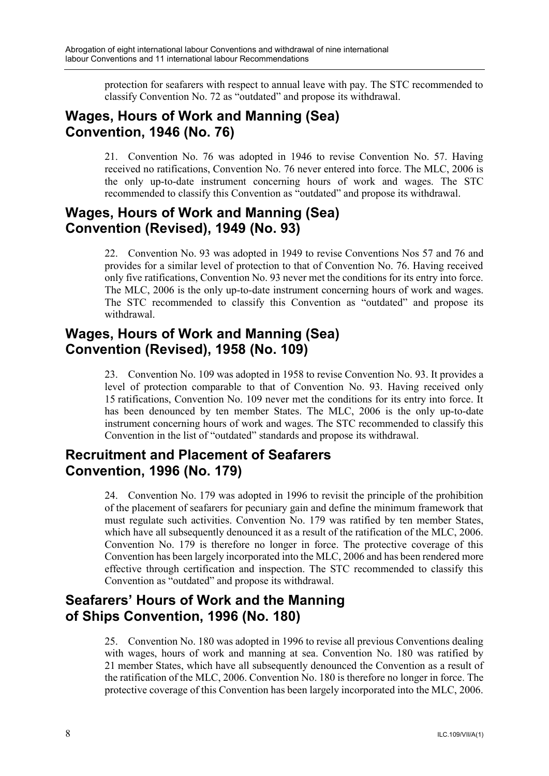protection for seafarers with respect to annual leave with pay. The STC recommended to classify Convention No. 72 as "outdated" and propose its withdrawal.

#### **Wages, Hours of Work and Manning (Sea) Convention, 1946 (No. 76)**

21. Convention No. 76 was adopted in 1946 to revise Convention No. 57. Having received no ratifications, Convention No. 76 never entered into force. The MLC, 2006 is the only up-to-date instrument concerning hours of work and wages. The STC recommended to classify this Convention as "outdated" and propose its withdrawal.

#### **Wages, Hours of Work and Manning (Sea) Convention (Revised), 1949 (No. 93)**

22. Convention No. 93 was adopted in 1949 to revise Conventions Nos 57 and 76 and provides for a similar level of protection to that of Convention No. 76. Having received only five ratifications, Convention No. 93 never met the conditions for its entry into force. The MLC, 2006 is the only up-to-date instrument concerning hours of work and wages. The STC recommended to classify this Convention as "outdated" and propose its withdrawal.

### **Wages, Hours of Work and Manning (Sea) Convention (Revised), 1958 (No. 109)**

23. Convention No. 109 was adopted in 1958 to revise Convention No. 93. It provides a level of protection comparable to that of Convention No. 93. Having received only 15 ratifications, Convention No. 109 never met the conditions for its entry into force. It has been denounced by ten member States. The MLC, 2006 is the only up-to-date instrument concerning hours of work and wages. The STC recommended to classify this Convention in the list of "outdated" standards and propose its withdrawal.

### **Recruitment and Placement of Seafarers Convention, 1996 (No. 179)**

24. Convention No. 179 was adopted in 1996 to revisit the principle of the prohibition of the placement of seafarers for pecuniary gain and define the minimum framework that must regulate such activities. Convention No. 179 was ratified by ten member States, which have all subsequently denounced it as a result of the ratification of the MLC, 2006. Convention No. 179 is therefore no longer in force. The protective coverage of this Convention has been largely incorporated into the MLC, 2006 and has been rendered more effective through certification and inspection. The STC recommended to classify this Convention as "outdated" and propose its withdrawal.

# **Seafarers' Hours of Work and the Manning of Ships Convention, 1996 (No. 180)**

25. Convention No. 180 was adopted in 1996 to revise all previous Conventions dealing with wages, hours of work and manning at sea. Convention No. 180 was ratified by 21 member States, which have all subsequently denounced the Convention as a result of the ratification of the MLC, 2006. Convention No. 180 is therefore no longer in force. The protective coverage of this Convention has been largely incorporated into the MLC, 2006.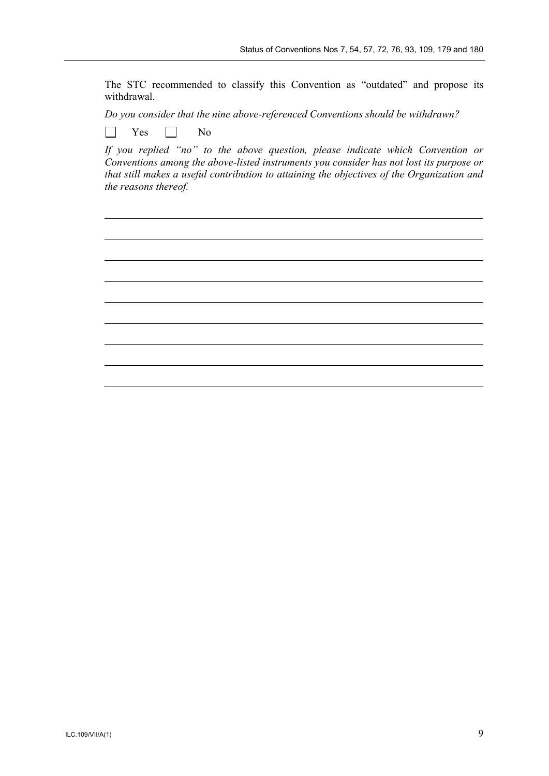The STC recommended to classify this Convention as "outdated" and propose its withdrawal.

*Do you consider that the nine above-referenced Conventions should be withdrawn?*

 $\Box$  $Yes \Box No$ 

*If you replied "no" to the above question, please indicate which Convention or Conventions among the above-listed instruments you consider has not lost its purpose or that still makes a useful contribution to attaining the objectives of the Organization and the reasons thereof.*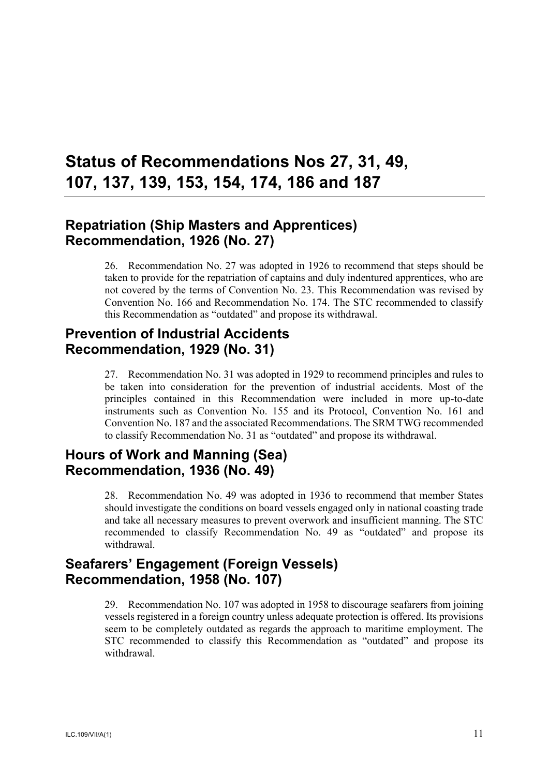# <span id="page-15-0"></span>**Status of Recommendations Nos 27, 31, 49, 107, 137, 139, 153, 154, 174, 186 and 187**

#### **Repatriation (Ship Masters and Apprentices) Recommendation, 1926 (No. 27)**

26. Recommendation No. 27 was adopted in 1926 to recommend that steps should be taken to provide for the repatriation of captains and duly indentured apprentices, who are not covered by the terms of Convention No. 23. This Recommendation was revised by Convention No. 166 and Recommendation No. 174. The STC recommended to classify this Recommendation as "outdated" and propose its withdrawal.

### **Prevention of Industrial Accidents Recommendation, 1929 (No. 31)**

27. Recommendation No. 31 was adopted in 1929 to recommend principles and rules to be taken into consideration for the prevention of industrial accidents. Most of the principles contained in this Recommendation were included in more up-to-date instruments such as Convention No. 155 and its Protocol, Convention No. 161 and Convention No. 187 and the associated Recommendations. The SRM TWG recommended to classify Recommendation No. 31 as "outdated" and propose its withdrawal.

#### **Hours of Work and Manning (Sea) Recommendation, 1936 (No. 49)**

28. Recommendation No. 49 was adopted in 1936 to recommend that member States should investigate the conditions on board vessels engaged only in national coasting trade and take all necessary measures to prevent overwork and insufficient manning. The STC recommended to classify Recommendation No. 49 as "outdated" and propose its withdrawal.

### **Seafarers' Engagement (Foreign Vessels) Recommendation, 1958 (No. 107)**

29. Recommendation No. 107 was adopted in 1958 to discourage seafarers from joining vessels registered in a foreign country unless adequate protection is offered. Its provisions seem to be completely outdated as regards the approach to maritime employment. The STC recommended to classify this Recommendation as "outdated" and propose its withdrawal.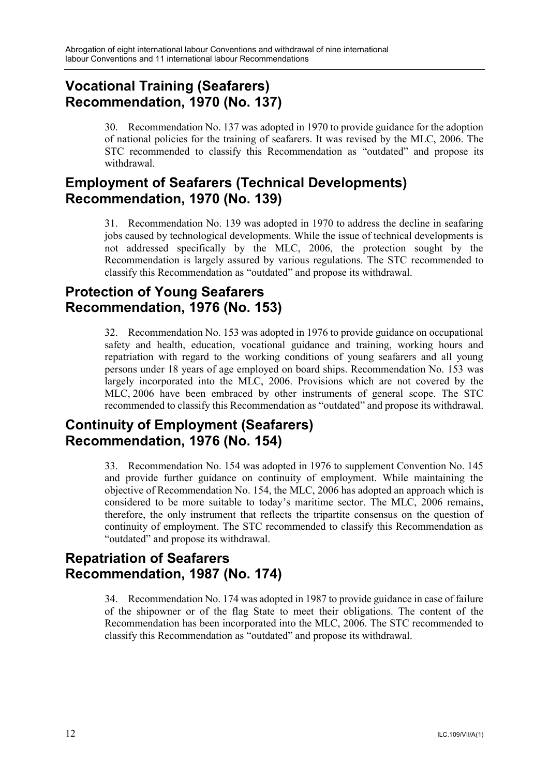#### **Vocational Training (Seafarers) Recommendation, 1970 (No. 137)**

30. Recommendation No. 137 was adopted in 1970 to provide guidance for the adoption of national policies for the training of seafarers. It was revised by the MLC, 2006. The STC recommended to classify this Recommendation as "outdated" and propose its withdrawal.

### **Employment of Seafarers (Technical Developments) Recommendation, 1970 (No. 139)**

31. Recommendation No. 139 was adopted in 1970 to address the decline in seafaring jobs caused by technological developments. While the issue of technical developments is not addressed specifically by the MLC, 2006, the protection sought by the Recommendation is largely assured by various regulations. The STC recommended to classify this Recommendation as "outdated" and propose its withdrawal.

#### **Protection of Young Seafarers Recommendation, 1976 (No. 153)**

32. Recommendation No. 153 was adopted in 1976 to provide guidance on occupational safety and health, education, vocational guidance and training, working hours and repatriation with regard to the working conditions of young seafarers and all young persons under 18 years of age employed on board ships. Recommendation No. 153 was largely incorporated into the MLC, 2006. Provisions which are not covered by the MLC, 2006 have been embraced by other instruments of general scope. The STC recommended to classify this Recommendation as "outdated" and propose its withdrawal.

# **Continuity of Employment (Seafarers) Recommendation, 1976 (No. 154)**

33. Recommendation No. 154 was adopted in 1976 to supplement Convention No. 145 and provide further guidance on continuity of employment. While maintaining the objective of Recommendation No. 154, the MLC, 2006 has adopted an approach which is considered to be more suitable to today's maritime sector. The MLC, 2006 remains, therefore, the only instrument that reflects the tripartite consensus on the question of continuity of employment. The STC recommended to classify this Recommendation as "outdated" and propose its withdrawal.

### **Repatriation of Seafarers Recommendation, 1987 (No. 174)**

34. Recommendation No. 174 was adopted in 1987 to provide guidance in case of failure of the shipowner or of the flag State to meet their obligations. The content of the Recommendation has been incorporated into the MLC, 2006. The STC recommended to classify this Recommendation as "outdated" and propose its withdrawal.